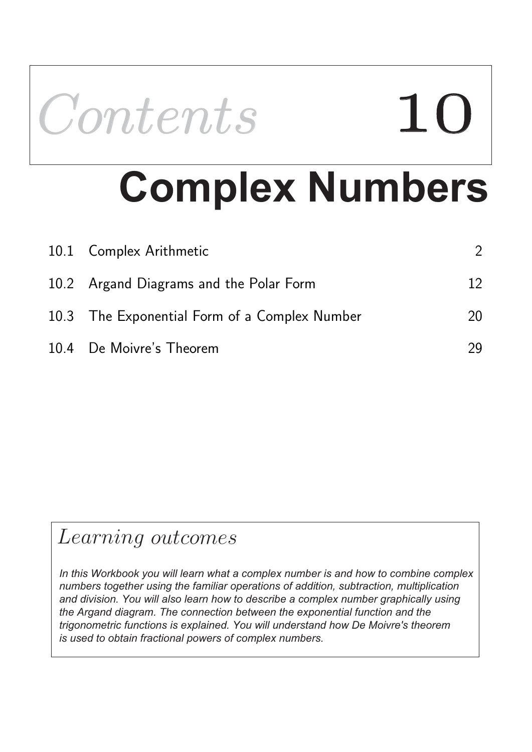

# **Complex Numbers**

| 10.1 Complex Arithmetic                       |    |
|-----------------------------------------------|----|
| 10.2 Argand Diagrams and the Polar Form       | 12 |
| 10.3 The Exponential Form of a Complex Number | 20 |
| 10.4 De Moivre's Theorem                      | 29 |

### Learning outcomes

*In this Workbook you will learn what a complex number is and how to combine complex numbers together using the familiar operations of addition, subtraction, multiplication and division. You will also learn how to describe a complex number graphically using the Argand diagram. The connection between the exponential function and the trigonometric functions is explained. You will understand how De Moivre's theorem is used to obtain fractional powers of complex numbers.*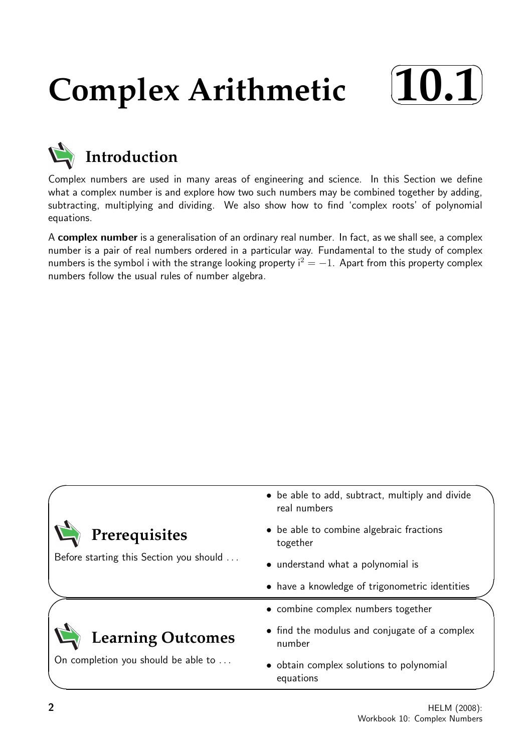## **Complex Arithmetic**





Complex numbers are used in many areas of engineering and science. In this Section we define what a complex number is and explore how two such numbers may be combined together by adding, subtracting, multiplying and dividing. We also show how to find 'complex roots' of polynomial equations.

A complex number is a generalisation of an ordinary real number. In fact, as we shall see, a complex number is a pair of real numbers ordered in a particular way. Fundamental to the study of complex numbers is the symbol i with the strange looking property  $i^2 = -1$ . Apart from this property complex numbers follow the usual rules of number algebra.

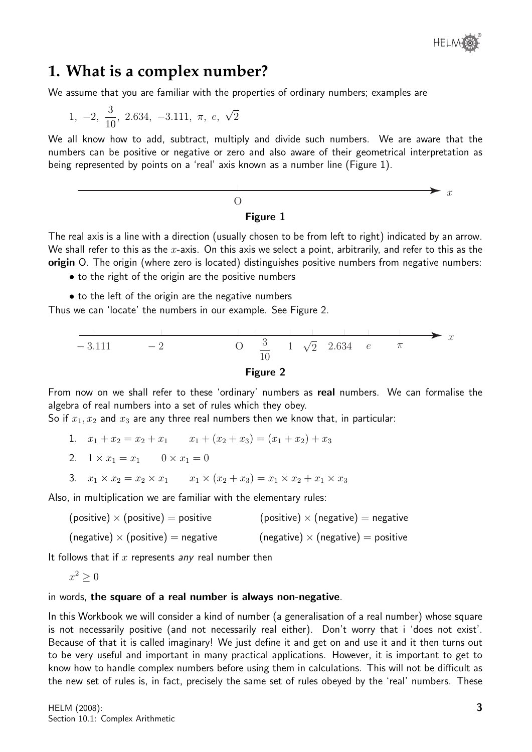

#### **1. What is a complex number?**

We assume that you are familiar with the properties of ordinary numbers; examples are

$$
1, -2, \frac{3}{10}, 2.634, -3.111, \pi, e, \sqrt{2}
$$

We all know how to add, subtract, multiply and divide such numbers. We are aware that the numbers can be positive or negative or zero and also aware of their geometrical interpretation as being represented by points on a 'real' axis known as a number line (Figure 1).

$$
\begin{array}{c}\n0 \\
\longleftarrow \\
\text{Figure 1}\n\end{array}
$$

The real axis is a line with a direction (usually chosen to be from left to right) indicated by an arrow. We shall refer to this as the  $x$ -axis. On this axis we select a point, arbitrarily, and refer to this as the origin O. The origin (where zero is located) distinguishes positive numbers from negative numbers:

- to the right of the origin are the positive numbers
- to the left of the origin are the negative numbers

Thus we can 'locate' the numbers in our example. See Figure 2.





From now on we shall refer to these 'ordinary' numbers as real numbers. We can formalise the algebra of real numbers into a set of rules which they obey.

So if  $x_1, x_2$  and  $x_3$  are any three real numbers then we know that, in particular:

- 1.  $x_1 + x_2 = x_2 + x_1$   $x_1 + (x_2 + x_3) = (x_1 + x_2) + x_3$ 2.  $1 \times x_1 = x_1$   $0 \times x_1 = 0$
- 3.  $x_1 \times x_2 = x_2 \times x_1$   $x_1 \times (x_2 + x_3) = x_1 \times x_2 + x_1 \times x_3$

Also, in multiplication we are familiar with the elementary rules:

- (positive)  $\times$  (positive) = positive (positive)  $\times$  (negative) = negative
- (negative)  $\times$  (positive) = negative (negative)  $\times$  (negative) = positive

It follows that if  $x$  represents any real number then

$$
x^2 \ge 0
$$

#### in words, the square of a real number is always non-negative.

In this Workbook we will consider a kind of number (a generalisation of a real number) whose square is not necessarily positive (and not necessarily real either). Don't worry that i 'does not exist'. Because of that it is called imaginary! We just define it and get on and use it and it then turns out to be very useful and important in many practical applications. However, it is important to get to know how to handle complex numbers before using them in calculations. This will not be difficult as the new set of rules is, in fact, precisely the same set of rules obeyed by the 'real' numbers. These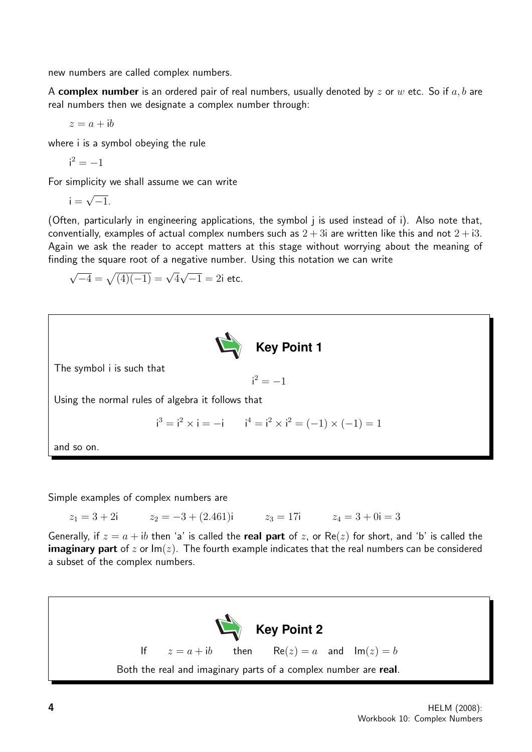new numbers are called complex numbers.

A complex number is an ordered pair of real numbers, usually denoted by z or w etc. So if a, b are real numbers then we designate a complex number through:

 $z = a + ib$ 

where i is a symbol obeying the rule

$$
\mathsf{i}^2=-1
$$

For simplicity we shall assume we can write

$$
i=\sqrt{-1}.
$$

(Often, particularly in engineering applications, the symbol j is used instead of i). Also note that, conventially, examples of actual complex numbers such as  $2 + 3i$  are written like this and not  $2 + i3$ . Again we ask the reader to accept matters at this stage without worrying about the meaning of finding the square root of a negative number. Using this notation we can write

$$
\sqrt{-4} = \sqrt{(4)(-1)} = \sqrt{4}\sqrt{-1} = 2i
$$
 etc.



Simple examples of complex numbers are

 $z_1 = 3 + 2i$   $z_2 = -3 + (2.461)i$   $z_3 = 17i$   $z_4 = 3 + 0i = 3$ 

Generally, if  $z = a + ib$  then 'a' is called the real part of z, or Re(z) for short, and 'b' is called the **imaginary part** of z or  $Im(z)$ . The fourth example indicates that the real numbers can be considered a subset of the complex numbers.

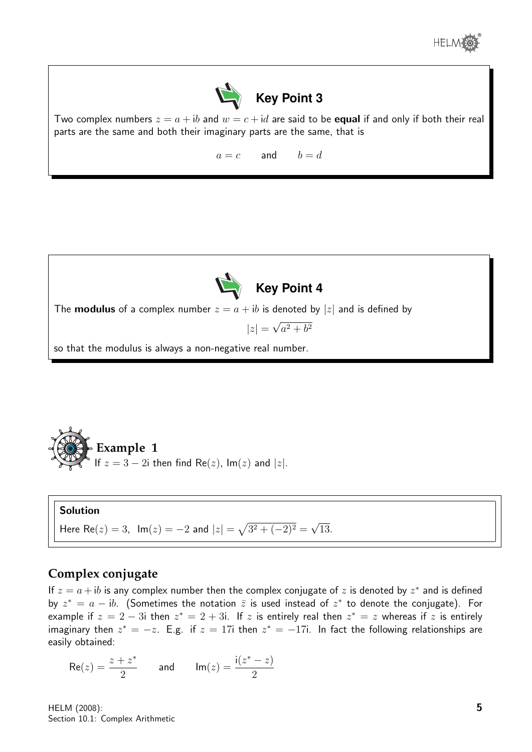



Two complex numbers  $z = a + ib$  and  $w = c + id$  are said to be **equal** if and only if both their real parts are the same and both their imaginary parts are the same, that is

 $a = c$  and  $b = d$ 



**Example 1**  
Example 1 If 
$$
z = 3 - 2i
$$
 then find Re(z), Im(z) and |z|.

#### Solution

 $\alpha$ 

Here Re(z) = 3,  $\text{Im}(z) = -2$  and  $|z| = \sqrt{3^2 + (-2)^2} =$ √ 13.

#### **Complex conjugate**

If  $z = a + ib$  is any complex number then the complex conjugate of z is denoted by  $z^*$  and is defined by  $z^* = a - ib$ . (Sometimes the notation  $\overline{z}$  is used instead of  $z^*$  to denote the conjugate). For example if  $z = 2 - 3i$  then  $z^* = 2 + 3i$ . If  $z$  is entirely real then  $z^* = z$  whereas if  $z$  is entirely imaginary then  $z^* = -z$ . E.g. if  $z = 17i$  then  $z^* = -17i$ . In fact the following relationships are easily obtained:

$$
\mathsf{Re}(z) = \frac{z+z^*}{2} \qquad \text{and} \qquad \mathsf{Im}(z) = \frac{\mathsf{i}(z^*-z)}{2}
$$

HELM (2008): Section 10.1: Complex Arithmetic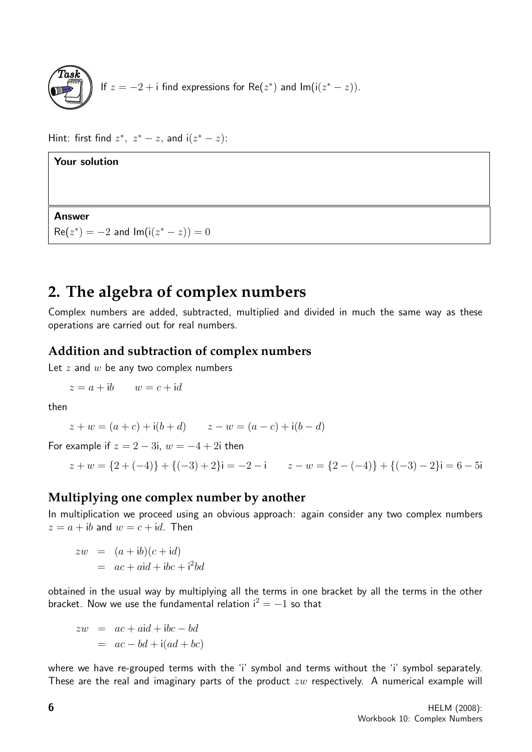

Hint: first find  $z^*$ ,  $z^* - z$ , and i $(z^* - z)$ :

**Your solution**  
  
**Answer**  

$$
Re(z^*) = -2
$$
 and  $Im(i(z^* - z)) = 0$ 

#### **2. The algebra of complex numbers**

Complex numbers are added, subtracted, multiplied and divided in much the same way as these operations are carried out for real numbers.

#### **Addition and subtraction of complex numbers**

Let  $z$  and  $w$  be any two complex numbers

$$
z = a + ib \qquad w = c + id
$$

then

$$
z + w = (a + c) + i(b + d)
$$
  $z - w = (a - c) + i(b - d)$ 

For example if  $z = 2 - 3i$ ,  $w = -4 + 2i$  then

$$
z + w = \{2 + (-4)\} + \{(-3) + 2\}\mathbf{i} = -2 - \mathbf{i} \qquad z - w = \{2 - (-4)\} + \{(-3) - 2\}\mathbf{i} = 6 - 5\mathbf{i}
$$

#### **Multiplying one complex number by another**

In multiplication we proceed using an obvious approach: again consider any two complex numbers  $z = a + ib$  and  $w = c + id$ . Then

 $zw = (a + ib)(c + id)$  $= ac + aid + ibc + i^2bd$ 

obtained in the usual way by multiplying all the terms in one bracket by all the terms in the other bracket. Now we use the fundamental relation  $i^2 = -1$  so that

$$
zw = ac + aid + ibc - bd
$$
  

$$
= ac - bd + i(ad + bc)
$$

where we have re-grouped terms with the 'i' symbol and terms without the 'i' symbol separately. These are the real and imaginary parts of the product  $zw$  respectively. A numerical example will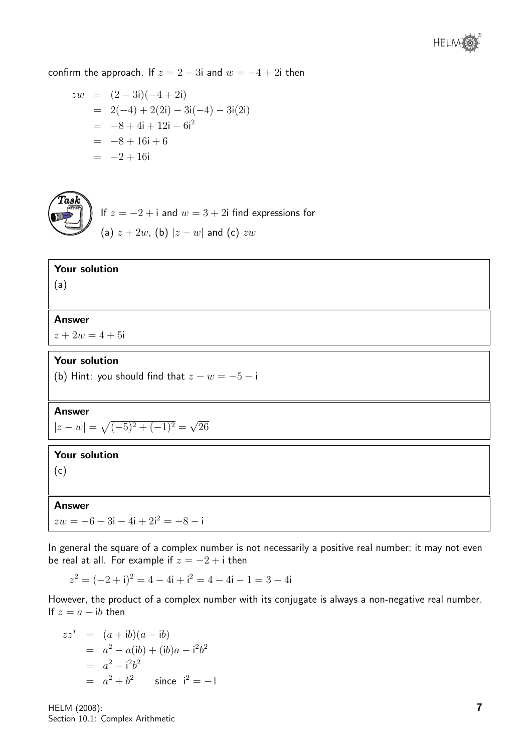confirm the approach. If  $z = 2 - 3i$  and  $w = -4 + 2i$  then

$$
zw = (2-3i)(-4+2i)
$$
  
= 2(-4) + 2(2i) - 3i(-4) - 3i(2i)  
= -8 + 4i + 12i - 6i<sup>2</sup>  
= -8 + 16i + 6  
= -2 + 16i



If  $z = -2 + i$  and  $w = 3 + 2i$  find expressions for (a)  $z + 2w$ , (b)  $|z - w|$  and (c)  $zw$ 

#### Your solution

(a)

#### Answer

 $z + 2w = 4 + 5i$ 

#### Your solution

(b) Hint: you should find that  $z - w = -5 - i$ 

#### Answer

 $|z-w|=\sqrt{(-5)^2+(-1)^2}=$ √ 26

#### Your solution

(c)

#### Answer

 $zw = -6 + 3i - 4i + 2i^2 = -8 - i$ 

In general the square of a complex number is not necessarily a positive real number; it may not even be real at all. For example if  $z = -2 + i$  then

 $z^{2} = (-2 + i)^{2} = 4 - 4i + i^{2} = 4 - 4i - 1 = 3 - 4i$ 

However, the product of a complex number with its conjugate is always a non-negative real number. If  $z = a + ib$  then

$$
zz^* = (a + ib)(a - ib)
$$
  
=  $a^2 - a(ib) + (ib)a - i^2b^2$   
=  $a^2 - i^2b^2$   
=  $a^2 + b^2$  since  $i^2 = -1$ 

HELM (2008): Section 10.1: Complex Arithmetic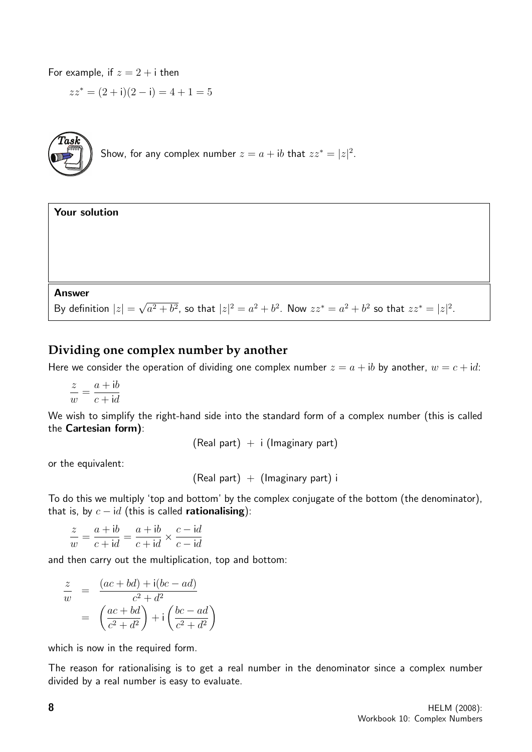For example, if  $z = 2 + i$  then

$$
zz^* = (2 + i)(2 - i) = 4 + 1 = 5
$$



| <b>Your solution</b>                                                                                                   |  |  |
|------------------------------------------------------------------------------------------------------------------------|--|--|
|                                                                                                                        |  |  |
|                                                                                                                        |  |  |
|                                                                                                                        |  |  |
|                                                                                                                        |  |  |
| <b>Answer</b>                                                                                                          |  |  |
| By definition $ z  = \sqrt{a^2 + b^2}$ , so that $ z ^2 = a^2 + b^2$ . Now $zz^* = a^2 + b^2$ so that $zz^* =  z ^2$ . |  |  |

#### **Dividing one complex number by another**

Here we consider the operation of dividing one complex number  $z = a + ib$  by another,  $w = c + id$ :

$$
\frac{z}{w} = \frac{a + ib}{c + id}
$$

We wish to simplify the right-hand side into the standard form of a complex number (this is called the Cartesian form):

 $(Real part) + i (Imaginary part)$ 

or the equivalent:

 $(Real part) + (Imaginary part) i$ 

To do this we multiply 'top and bottom' by the complex conjugate of the bottom (the denominator), that is, by  $c - id$  (this is called **rationalising**):

$$
\frac{z}{w} = \frac{a+ib}{c+id} = \frac{a+ib}{c+id} \times \frac{c-id}{c-id}
$$

and then carry out the multiplication, top and bottom:

$$
\frac{z}{w} = \frac{(ac+bd) + i(bc-ad)}{c^2 + d^2}
$$

$$
= \left(\frac{ac+bd}{c^2 + d^2}\right) + i\left(\frac{bc-ad}{c^2 + d^2}\right)
$$

which is now in the required form.

The reason for rationalising is to get a real number in the denominator since a complex number divided by a real number is easy to evaluate.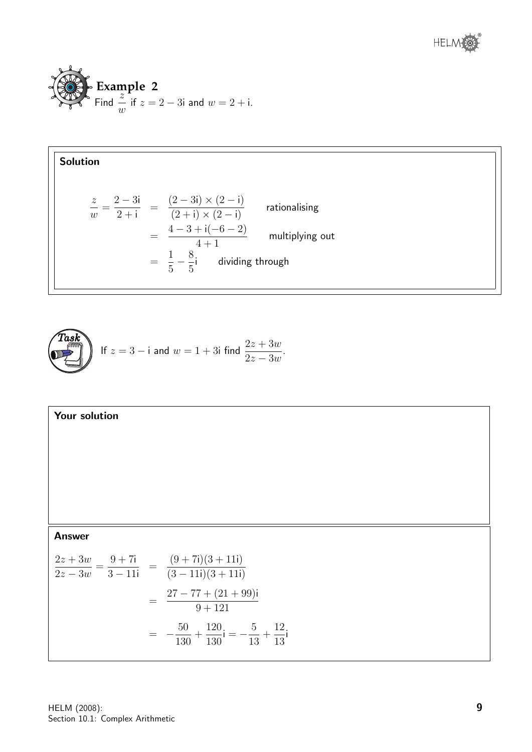



$$
\underbrace{\text{Task}}_{2z-3w}
$$
 If  $z = 3 - i$  and  $w = 1 + 3i$  find  $\frac{2z + 3w}{2z - 3w}$ .

Answer  
\n
$$
\frac{2z + 3w}{2z - 3w} = \frac{9 + 7i}{3 - 11i} = \frac{(9 + 7i)(3 + 11i)}{(3 - 11i)(3 + 11i)}
$$
\n
$$
= \frac{27 - 77 + (21 + 99)i}{9 + 121}
$$
\n
$$
= -\frac{50}{130} + \frac{120}{130}i = -\frac{5}{13} + \frac{12}{13}i
$$

Your solution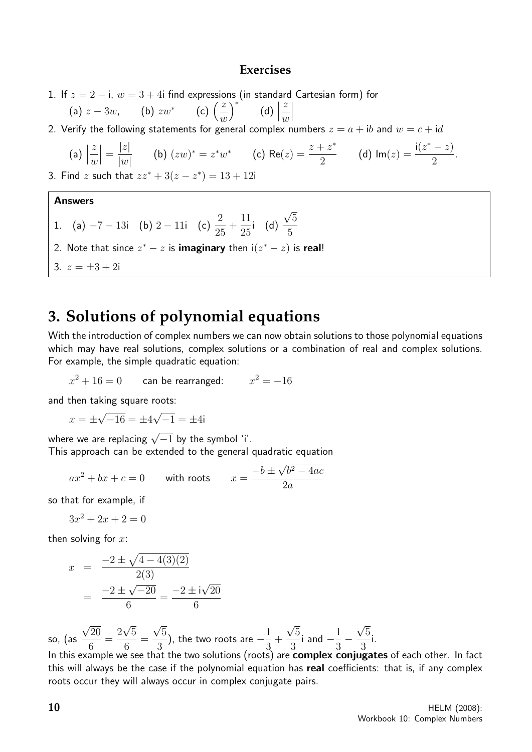#### **Exercises**

- 1. If  $z = 2 i$ ,  $w = 3 + 4i$  find expressions (in standard Cartesian form) for
	- (a)  $z 3w$ , (b)  $zw^*$  (c)  $\left(\frac{z}{z}\right)$  $\omega$  $\bigg)$ \*  $\qquad \qquad$  (d)  $\bigg|$ z  $\omega$  $\begin{array}{c} \begin{array}{c} \begin{array}{c} \end{array} \\ \begin{array}{c} \end{array} \end{array} \end{array}$
- 2. Verify the following statements for general complex numbers  $z = a + ib$  and  $w = c + id$

(a) 
$$
\left| \frac{z}{w} \right| = \frac{|z|}{|w|}
$$
 (b)  $(zw)^* = z^*w^*$  (c)  $\text{Re}(z) = \frac{z + z^*}{2}$  (d)  $\text{Im}(z) = \frac{i(z^* - z)}{2}$ .

3. Find z such that  $zz^* + 3(z - z^*) = 13 + 12i$ 

#### Answers

1. (a)  $-7 - 13i$  (b)  $2 - 11i$  (c)  $\frac{2}{2}$ 25  $+$ 11 25 i (d) √ 5 5 2. Note that since  $z^* - z$  is **imaginary** then  $i(z^* - z)$  is real! 3.  $z = \pm 3 + 2i$ 

### **3. Solutions of polynomial equations**

With the introduction of complex numbers we can now obtain solutions to those polynomial equations which may have real solutions, complex solutions or a combination of real and complex solutions. For example, the simple quadratic equation:

$$
x^2 + 16 = 0
$$
 can be rearranged: 
$$
x^2 = -16
$$

and then taking square roots:

$$
x = \pm \sqrt{-16} = \pm 4\sqrt{-1} = \pm 4i
$$

where we are replacing  $\sqrt{-1}$  by the symbol 'i'.

This approach can be extended to the general quadratic equation

$$
ax2 + bx + c = 0 \qquad \text{with roots} \qquad x = \frac{-b \pm \sqrt{b^2 - 4ac}}{2a}
$$

so that for example, if

 $3x^2 + 2x + 2 = 0$ 

then solving for  $x$ :

$$
x = \frac{-2 \pm \sqrt{4 - 4(3)(2)}}{2(3)}
$$

$$
= \frac{-2 \pm \sqrt{-20}}{6} = \frac{-2 \pm i\sqrt{20}}{6}
$$

so, (as √ 20 6 = 2 √ 5 6 = √ 5 3 ), the two roots are  $-\frac{1}{2}$ 3  $+$ √ 5 3 i and  $-\frac{1}{2}$ 3 − √ 5 3 i.

In this example we see that the two solutions (roots) are **complex conjugates** of each other. In fact this will always be the case if the polynomial equation has real coefficients: that is, if any complex roots occur they will always occur in complex conjugate pairs.